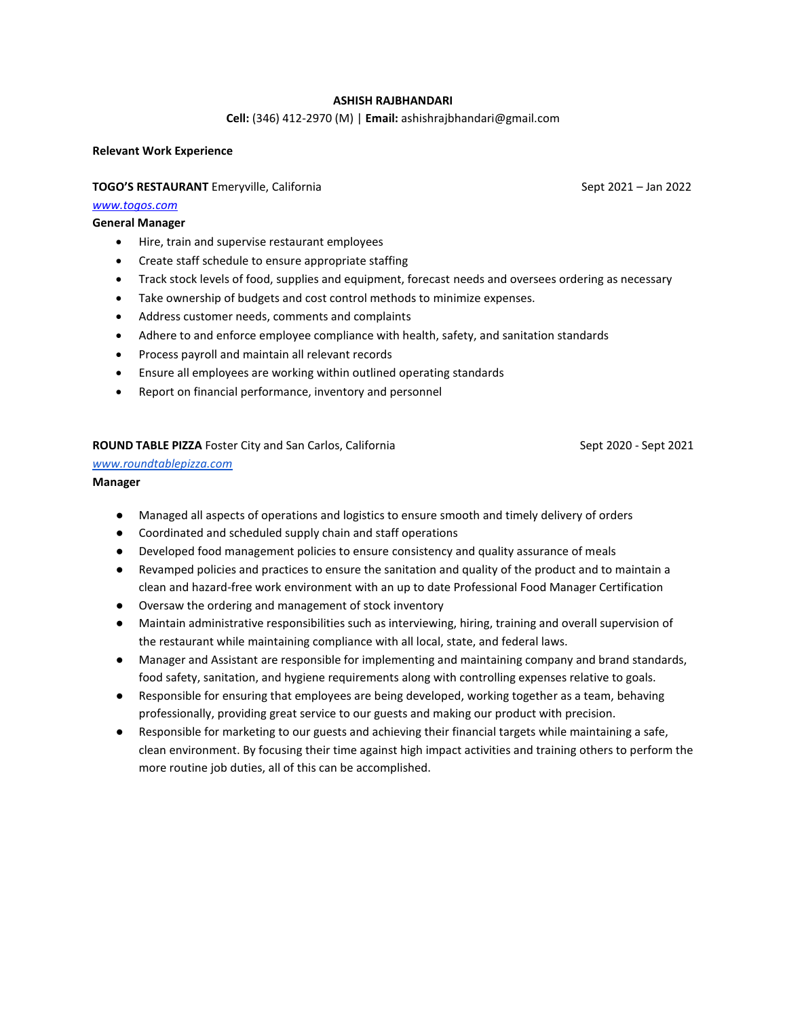## **ASHISH RAJBHANDARI**

### **Cell:** (346) 412-2970 (M) | **Email:** ashishrajbhandari@gmail.com

### **Relevant Work Experience**

### **TOGO'S RESTAURANT** Emeryville, California Sept 2021 – Jan 2022

#### *[www.togos.com](http://www.togos.com/)*

#### **General Manager**

- Hire, train and supervise restaurant employees
- Create staff schedule to ensure appropriate staffing
- Track stock levels of food, supplies and equipment, forecast needs and oversees ordering as necessary
- Take ownership of budgets and cost control methods to minimize expenses.
- Address customer needs, comments and complaints
- Adhere to and enforce employee compliance with health, safety, and sanitation standards
- Process payroll and maintain all relevant records
- Ensure all employees are working within outlined operating standards
- Report on financial performance, inventory and personnel

#### **ROUND TABLE PIZZA** Foster City and San Carlos, California Sept 2020 - Sept 2020 - Sept 2021

### *[www.roundtablepizza.com](http://www.roundtablepizza.com/)*

### **Manager**

- Managed all aspects of operations and logistics to ensure smooth and timely delivery of orders
- Coordinated and scheduled supply chain and staff operations
- Developed food management policies to ensure consistency and quality assurance of meals
- Revamped policies and practices to ensure the sanitation and quality of the product and to maintain a clean and hazard-free work environment with an up to date Professional Food Manager Certification
- Oversaw the ordering and management of stock inventory
- Maintain administrative responsibilities such as interviewing, hiring, training and overall supervision of the restaurant while maintaining compliance with all local, state, and federal laws.
- Manager and Assistant are responsible for implementing and maintaining company and brand standards, food safety, sanitation, and hygiene requirements along with controlling expenses relative to goals.
- Responsible for ensuring that employees are being developed, working together as a team, behaving professionally, providing great service to our guests and making our product with precision.
- Responsible for marketing to our guests and achieving their financial targets while maintaining a safe, clean environment. By focusing their time against high impact activities and training others to perform the more routine job duties, all of this can be accomplished.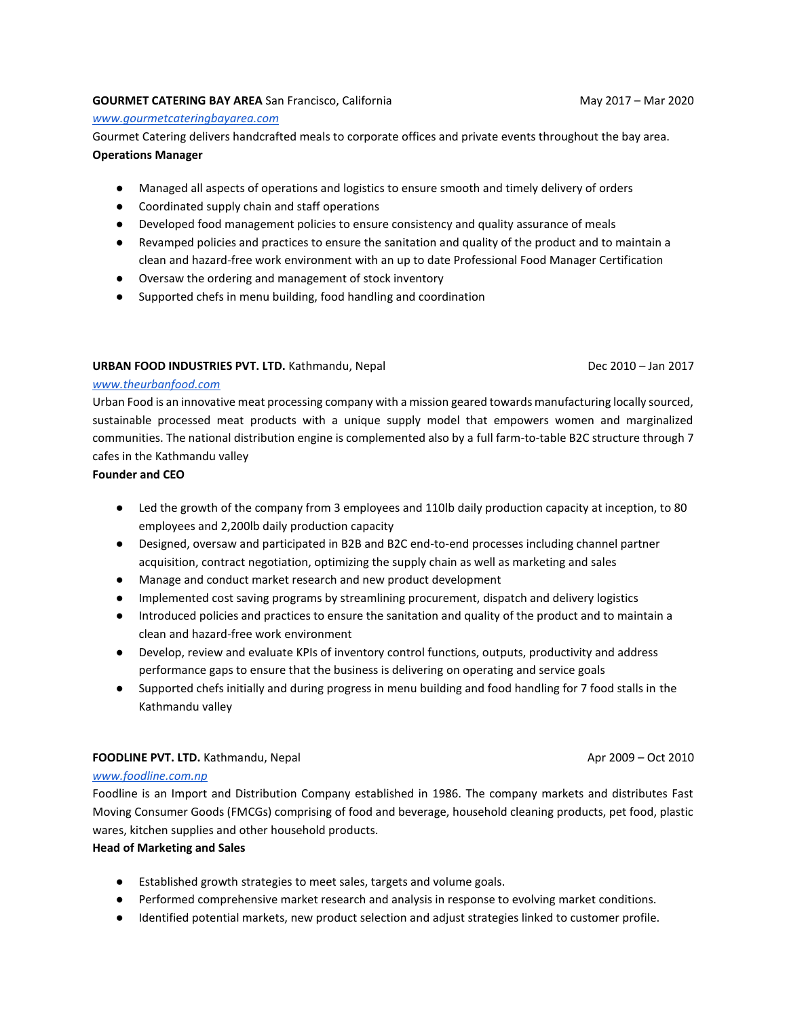### **GOURMET CATERING BAY AREA** San Francisco, CaliforniaMay 2017 – Mar 2020

## *[www.gourmetcateringbayarea.com](http://www.gourmetcateringbayarea.com/)*

Gourmet Catering delivers handcrafted meals to corporate offices and private events throughout the bay area. **Operations Manager**

- Managed all aspects of operations and logistics to ensure smooth and timely delivery of orders
- Coordinated supply chain and staff operations
- Developed food management policies to ensure consistency and quality assurance of meals
- Revamped policies and practices to ensure the sanitation and quality of the product and to maintain a clean and hazard-free work environment with an up to date Professional Food Manager Certification
- Oversaw the ordering and management of stock inventory
- Supported chefs in menu building, food handling and coordination

# **URBAN FOOD INDUSTRIES PVT. LTD.** Kathmandu, NepalDec 2010 – Jan 2017

## *[www.theurbanfood.com](http://www.theurbanfood.com/)*

Urban Food is an innovative meat processing company with a mission geared towards manufacturing locally sourced, sustainable processed meat products with a unique supply model that empowers women and marginalized communities. The national distribution engine is complemented also by a full farm-to-table B2C structure through 7 cafes in the Kathmandu valley

**Founder and CEO**

- Led the growth of the company from 3 employees and 110lb daily production capacity at inception, to 80 employees and 2,200lb daily production capacity
- Designed, oversaw and participated in B2B and B2C end-to-end processes including channel partner acquisition, contract negotiation, optimizing the supply chain as well as marketing and sales
- Manage and conduct market research and new product development
- Implemented cost saving programs by streamlining procurement, dispatch and delivery logistics
- Introduced policies and practices to ensure the sanitation and quality of the product and to maintain a clean and hazard-free work environment
- Develop, review and evaluate KPIs of inventory control functions, outputs, productivity and address performance gaps to ensure that the business is delivering on operating and service goals
- Supported chefs initially and during progress in menu building and food handling for 7 food stalls in the Kathmandu valley

# **FOODLINE PVT. LTD.** Kathmandu, NepalApr 2009 – Oct 2010

# *[www.foodline.com.np](http://www.foodline.com.np/)*

Foodline is an Import and Distribution Company established in 1986. The company markets and distributes Fast Moving Consumer Goods (FMCGs) comprising of food and beverage, household cleaning products, pet food, plastic wares, kitchen supplies and other household products.

### **Head of Marketing and Sales**

- Established growth strategies to meet sales, targets and volume goals.
- Performed comprehensive market research and analysis in response to evolving market conditions.
- Identified potential markets, new product selection and adjust strategies linked to customer profile.